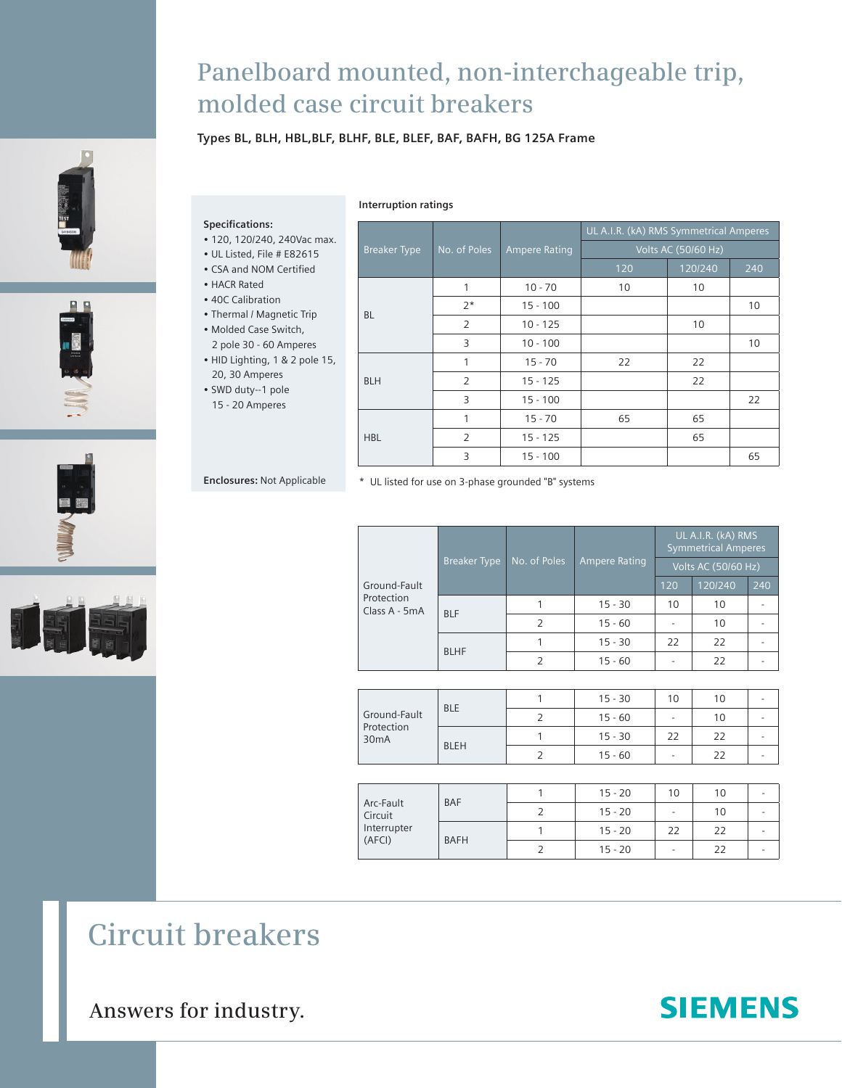# **Panelboard mounted, non-interchageable trip, molded case circuit breakers**

## **Types BL, BLH, HBL,BLF, BLHF, BLE, BLEF, BAF, BAFH, BG 125A Frame**









#### **Interruption ratings**

Breaker Type No. of Poles Ampere Rating UL A.I.R. (kA) RMS Symmetrical Amperes 120 120/240 240 BL 1 10 - 70 10 10  $2^*$  15 - 100 100 2 | 10 - 125 | 10 3 10 - 100 100 BLH 1 | 15 - 70 | 22 | 22 2 15 - 125 22 3 15 - 100 22 HBL 1 | 15 - 70 | 65 | 65 2 | 15 - 125 | 65 3 15 - 100 65

**Enclosures:** Not Applicable

**Specifications:**

• HACR Rated • 40C Calibration • Thermal / Magnetic Trip • Molded Case Switch, 2 pole 30 - 60 Amperes • HID Lighting, 1 & 2 pole 15, 20, 30 Amperes • SWD duty--1 pole 15 - 20 Amperes

• 120, 120/240, 240Vac max. • UL Listed, File # E82615 • CSA and NOM Certified

\* UL listed for use on 3-phase grounded "B" systems

| Ground-Fault<br>Protection<br>Class A - 5mA | <b>Breaker Type</b> | $\overline{\text{No. of Poles}}$ | Ampere Rating | UL A.I.R. (kA) RMS<br><b>Symmetrical Amperes</b><br><b>Volts AC (50/60 Hz)</b> |         |     |
|---------------------------------------------|---------------------|----------------------------------|---------------|--------------------------------------------------------------------------------|---------|-----|
|                                             |                     |                                  |               | 120                                                                            | 120/240 | 240 |
|                                             | <b>BLF</b>          |                                  | $15 - 30$     | 10                                                                             | 10      |     |
|                                             |                     | $\mathcal{P}$                    | $15 - 60$     |                                                                                | 10      |     |
|                                             | <b>BLHF</b>         |                                  | $15 - 30$     | 22                                                                             | 22      |     |
|                                             |                     | $\mathcal{P}$                    | $15 - 60$     |                                                                                | 22      |     |

| Ground-Fault<br>Protection<br>30 <sub>m</sub> A | <b>BLE</b>  | $15 - 30$ | 10 | 10 |  |
|-------------------------------------------------|-------------|-----------|----|----|--|
|                                                 |             | $15 - 60$ |    | 10 |  |
|                                                 | <b>BLEH</b> | $15 - 30$ | 22 | 22 |  |
|                                                 |             | $15 - 60$ |    | 22 |  |

| Arc-Fault<br>Circuit<br>Interrupter<br>(AFCI) | <b>BAF</b>  | $15 - 20$ | 10 | 10 |  |
|-----------------------------------------------|-------------|-----------|----|----|--|
|                                               |             | $15 - 20$ |    | 10 |  |
|                                               | <b>BAFH</b> | $15 - 20$ | 22 | 22 |  |
|                                               |             | $15 - 20$ |    | 22 |  |

# **Circuit breakers**

**Answers for industry.**